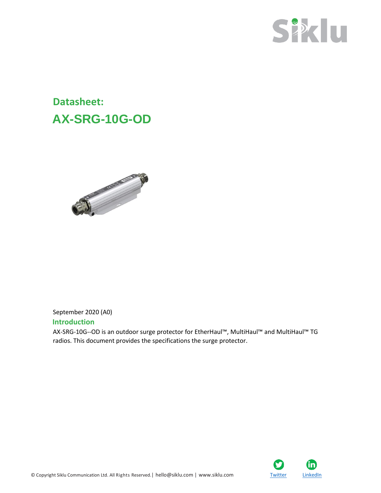

## **Datasheet: AX-SRG-10G-OD**



## September 2020 (A0) **Introduction**

AX-SRG-10G--OD is an outdoor surge protector for EtherHaul™, MultiHaul™ and MultiHaul™ TG radios. This document provides the specifications the surge protector.

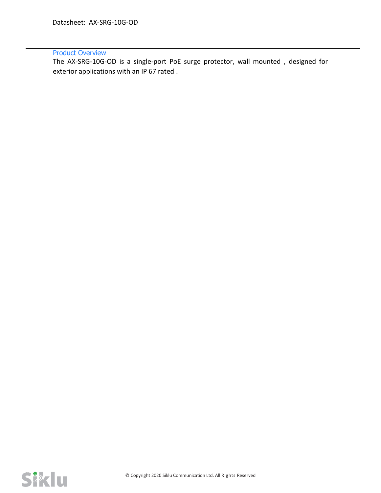## Product Overview

The AX-SRG-10G-OD is a single-port PoE surge protector, wall mounted , designed for exterior applications with an IP 67 rated .

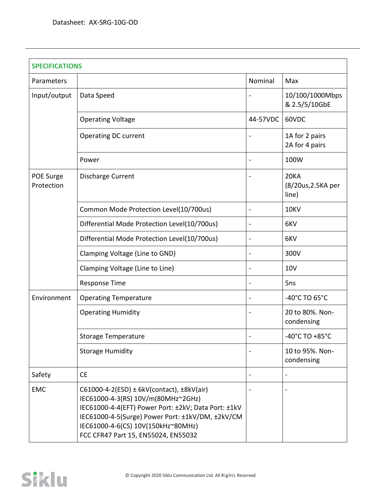| <b>SPECIFICATIONS</b>   |                                                                                                                                                                                                                                                                                    |          |                                            |  |  |
|-------------------------|------------------------------------------------------------------------------------------------------------------------------------------------------------------------------------------------------------------------------------------------------------------------------------|----------|--------------------------------------------|--|--|
| Parameters              |                                                                                                                                                                                                                                                                                    | Nominal  | Max                                        |  |  |
| Input/output            | Data Speed                                                                                                                                                                                                                                                                         |          | 10/100/1000Mbps<br>& 2.5/5/10GbE           |  |  |
|                         | <b>Operating Voltage</b>                                                                                                                                                                                                                                                           | 44-57VDC | 60VDC                                      |  |  |
|                         | Operating DC current                                                                                                                                                                                                                                                               |          | 1A for 2 pairs<br>2A for 4 pairs           |  |  |
|                         | Power                                                                                                                                                                                                                                                                              |          | 100W                                       |  |  |
| POE Surge<br>Protection | Discharge Current                                                                                                                                                                                                                                                                  |          | <b>20KA</b><br>(8/20us, 2.5KA per<br>line) |  |  |
|                         | Common Mode Protection Level(10/700us)                                                                                                                                                                                                                                             |          | 10KV                                       |  |  |
|                         | Differential Mode Protection Level(10/700us)                                                                                                                                                                                                                                       |          | 6KV                                        |  |  |
|                         | Differential Mode Protection Level(10/700us)                                                                                                                                                                                                                                       |          | 6KV                                        |  |  |
|                         | Clamping Voltage (Line to GND)                                                                                                                                                                                                                                                     |          | 300V                                       |  |  |
|                         | Clamping Voltage (Line to Line)                                                                                                                                                                                                                                                    |          | 10V                                        |  |  |
|                         | <b>Response Time</b>                                                                                                                                                                                                                                                               |          | 5ns                                        |  |  |
| Environment             | <b>Operating Temperature</b>                                                                                                                                                                                                                                                       |          | -40°C TO 65°C                              |  |  |
|                         | <b>Operating Humidity</b>                                                                                                                                                                                                                                                          |          | 20 to 80%. Non-<br>condensing              |  |  |
|                         | Storage Temperature                                                                                                                                                                                                                                                                |          | -40°C TO +85°C                             |  |  |
|                         | <b>Storage Humidity</b>                                                                                                                                                                                                                                                            |          | 10 to 95%. Non-<br>condensing              |  |  |
| Safety                  | <b>CE</b>                                                                                                                                                                                                                                                                          |          | $\overline{\phantom{a}}$                   |  |  |
| <b>EMC</b>              | $C61000-4-2(ESD) \pm 6kV$ (contact), $\pm 8kV$ (air)<br>IEC61000-4-3(RS) 10V/m(80MHz~2GHz)<br>IEC61000-4-4(EFT) Power Port: ±2kV; Data Port: ±1kV<br>IEC61000-4-5(Surge) Power Port: ±1kV/DM, ±2kV/CM<br>IEC61000-4-6(CS) 10V(150kHz~80MHz)<br>FCC CFR47 Part 15, EN55024, EN55032 |          |                                            |  |  |